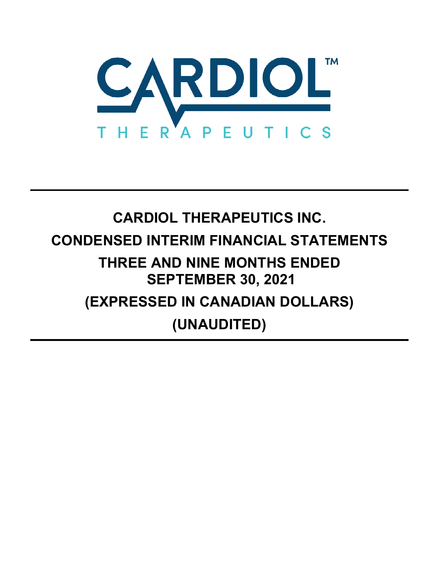

# **CARDIOL THERAPEUTICS INC. CONDENSED INTERIM FINANCIAL STATEMENTS THREE AND NINE MONTHS ENDED SEPTEMBER 30, 2021 (EXPRESSED IN CANADIAN DOLLARS) (UNAUDITED)**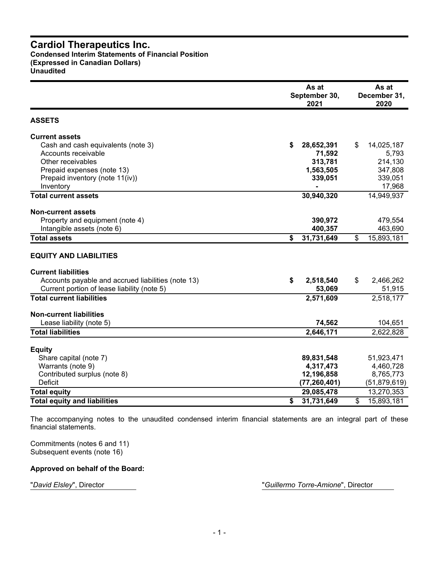#### **Cardiol Therapeutics Inc. Condensed Interim Statements of Financial Position (Expressed in Canadian Dollars) Unaudited**

|                                                                                                   |    | As at<br>September 30,<br>2021 | As at<br>December 31,<br>2020 |                     |  |  |
|---------------------------------------------------------------------------------------------------|----|--------------------------------|-------------------------------|---------------------|--|--|
| <b>ASSETS</b>                                                                                     |    |                                |                               |                     |  |  |
| <b>Current assets</b>                                                                             |    |                                |                               |                     |  |  |
| Cash and cash equivalents (note 3)                                                                | S  | 28,652,391                     | \$                            | 14,025,187          |  |  |
| Accounts receivable                                                                               |    | 71,592                         |                               | 5,793               |  |  |
| Other receivables                                                                                 |    | 313,781                        |                               | 214,130             |  |  |
| Prepaid expenses (note 13)                                                                        |    | 1,563,505                      |                               | 347,808             |  |  |
| Prepaid inventory (note 11(iv))                                                                   |    | 339,051                        |                               | 339,051             |  |  |
| Inventory                                                                                         |    |                                |                               | 17,968              |  |  |
| <b>Total current assets</b>                                                                       |    | 30,940,320                     |                               | 14,949,937          |  |  |
| <b>Non-current assets</b>                                                                         |    |                                |                               |                     |  |  |
| Property and equipment (note 4)                                                                   |    | 390,972                        |                               | 479,554             |  |  |
| Intangible assets (note 6)                                                                        |    | 400,357                        |                               | 463,690             |  |  |
| <b>Total assets</b>                                                                               | \$ | 31,731,649                     | \$                            | 15,893,181          |  |  |
| <b>EQUITY AND LIABILITIES</b>                                                                     |    |                                |                               |                     |  |  |
| <b>Current liabilities</b>                                                                        |    |                                |                               |                     |  |  |
| Accounts payable and accrued liabilities (note 13)<br>Current portion of lease liability (note 5) | \$ | 2,518,540                      | \$                            | 2,466,262<br>51,915 |  |  |
| <b>Total current liabilities</b>                                                                  |    | 53,069<br>2,571,609            |                               | 2,518,177           |  |  |
|                                                                                                   |    |                                |                               |                     |  |  |
| <b>Non-current liabilities</b>                                                                    |    |                                |                               |                     |  |  |
| Lease liability (note 5)                                                                          |    | 74,562                         |                               | 104,651             |  |  |
| <b>Total liabilities</b>                                                                          |    | 2,646,171                      |                               | 2,622,828           |  |  |
| <b>Equity</b>                                                                                     |    |                                |                               |                     |  |  |
| Share capital (note 7)                                                                            |    | 89,831,548                     |                               | 51,923,471          |  |  |
| Warrants (note 9)                                                                                 |    | 4,317,473                      |                               | 4,460,728           |  |  |
| Contributed surplus (note 8)                                                                      |    | 12,196,858                     |                               | 8,765,773           |  |  |
| Deficit                                                                                           |    | (77, 260, 401)                 |                               | (51, 879, 619)      |  |  |
| <b>Total equity</b>                                                                               |    | 29,085,478                     |                               | 13,270,353          |  |  |
| <b>Total equity and liabilities</b>                                                               | \$ | 31,731,649                     | \$                            | 15,893,181          |  |  |

The accompanying notes to the unaudited condensed interim financial statements are an integral part of these financial statements.

Commitments (notes 6 and 11) Subsequent events (note 16)

#### **Approved on behalf of the Board:**

"*David Elsley*", Director "*Guillermo Torre-Amione*", Director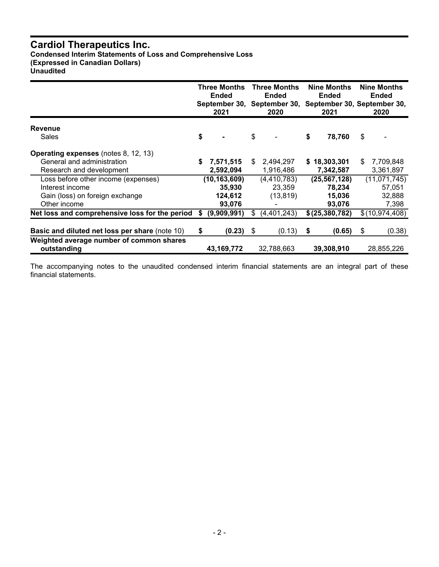**Condensed Interim Statements of Loss and Comprehensive Loss (Expressed in Canadian Dollars)**

**Unaudited**

|                                                                                                           |    | <b>Three Months</b><br><b>Ended</b><br>September 30,<br>2021 |     | <b>Three Months</b><br><b>Ended</b><br>September 30,<br>2020 |    | <b>Nine Months</b><br><b>Ended</b><br>2021   |    | <b>Nine Months</b><br>Ended<br>September 30, September 30,<br>2020 |
|-----------------------------------------------------------------------------------------------------------|----|--------------------------------------------------------------|-----|--------------------------------------------------------------|----|----------------------------------------------|----|--------------------------------------------------------------------|
| <b>Revenue</b><br>Sales                                                                                   | \$ |                                                              | \$  |                                                              | \$ | 78,760                                       | \$ |                                                                    |
| <b>Operating expenses</b> (notes 8, 12, 13)<br>General and administration<br>Research and development     | S  | 7,571,515<br>2,592,094                                       | \$. | 2,494,297<br>1,916,486                                       |    | \$18,303,301<br>7,342,587                    | S  | 7,709,848<br>3,361,897                                             |
| Loss before other income (expenses)<br>Interest income<br>Gain (loss) on foreign exchange<br>Other income |    | (10, 163, 609)<br>35,930<br>124,612<br>93,076                |     | (4, 410, 783)<br>23,359<br>(13, 819)                         |    | (25, 567, 128)<br>78,234<br>15,036<br>93,076 |    | (11, 071, 745)<br>57,051<br>32,888<br>7,398                        |
| Net loss and comprehensive loss for the period                                                            | S  | (9,909,991)                                                  | S.  | (4,401,243)                                                  |    | \$(25, 380, 782)                             |    | \$(10,974,408)                                                     |
| Basic and diluted net loss per share (note 10)<br>Weighted average number of common shares                | S  | (0.23)                                                       | \$  | (0.13)                                                       | S. | (0.65)                                       | \$ | (0.38)                                                             |
| outstanding                                                                                               |    | 43, 169, 772                                                 |     | 32,788,663                                                   |    | 39,308,910                                   |    | 28,855,226                                                         |

The accompanying notes to the unaudited condensed interim financial statements are an integral part of these financial statements.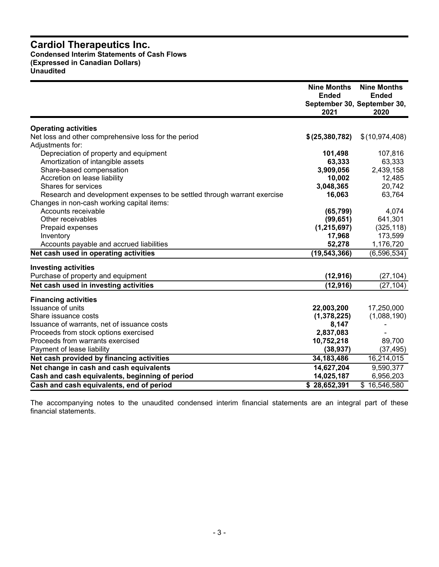#### **Cardiol Therapeutics Inc. Condensed Interim Statements of Cash Flows (Expressed in Canadian Dollars) Unaudited**

|                                                                          | <b>Nine Months</b><br>Ended<br>2021 | <b>Nine Months</b><br><b>Ended</b><br>September 30, September 30,<br>2020 |
|--------------------------------------------------------------------------|-------------------------------------|---------------------------------------------------------------------------|
|                                                                          |                                     |                                                                           |
| <b>Operating activities</b>                                              |                                     |                                                                           |
| Net loss and other comprehensive loss for the period                     | \$(25, 380, 782)                    | \$(10,974,408)                                                            |
| Adjustments for:                                                         |                                     |                                                                           |
| Depreciation of property and equipment                                   | 101,498                             | 107,816                                                                   |
| Amortization of intangible assets                                        | 63,333                              | 63,333                                                                    |
| Share-based compensation                                                 | 3,909,056                           | 2,439,158                                                                 |
| Accretion on lease liability                                             | 10,002                              | 12,485                                                                    |
| Shares for services                                                      | 3,048,365                           | 20,742                                                                    |
| Research and development expenses to be settled through warrant exercise | 16,063                              | 63,764                                                                    |
| Changes in non-cash working capital items:                               |                                     |                                                                           |
| Accounts receivable                                                      | (65, 799)                           | 4,074                                                                     |
| Other receivables                                                        | (99, 651)                           | 641,301                                                                   |
| Prepaid expenses                                                         | (1, 215, 697)                       | (325, 118)                                                                |
| Inventory                                                                | 17,968                              | 173,599                                                                   |
| Accounts payable and accrued liabilities                                 | 52,278                              | 1,176,720                                                                 |
| Net cash used in operating activities                                    | (19, 543, 366)                      | (6, 596, 534)                                                             |
| <b>Investing activities</b>                                              |                                     |                                                                           |
| Purchase of property and equipment                                       | (12, 916)                           | (27, 104)                                                                 |
| Net cash used in investing activities                                    | (12, 916)                           | (27, 104)                                                                 |
|                                                                          |                                     |                                                                           |
| <b>Financing activities</b>                                              |                                     |                                                                           |
| Issuance of units                                                        | 22,003,200                          | 17,250,000                                                                |
| Share issuance costs                                                     | (1,378,225)                         | (1,088,190)                                                               |
| Issuance of warrants, net of issuance costs                              | 8,147                               |                                                                           |
| Proceeds from stock options exercised                                    | 2,837,083                           |                                                                           |
| Proceeds from warrants exercised                                         | 10,752,218                          | 89,700                                                                    |
| Payment of lease liability                                               | (38, 937)                           | (37, 495)                                                                 |
| Net cash provided by financing activities                                | 34, 183, 486                        | 16,214,015                                                                |
| Net change in cash and cash equivalents                                  | 14,627,204                          | 9,590,377                                                                 |
| Cash and cash equivalents, beginning of period                           | 14,025,187                          | 6,956,203                                                                 |
| Cash and cash equivalents, end of period                                 | \$28,652,391                        | \$16,546,580                                                              |

The accompanying notes to the unaudited condensed interim financial statements are an integral part of these financial statements.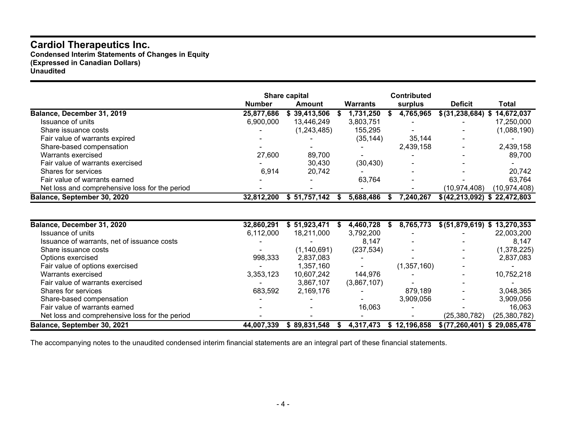**Condensed Interim Statements of Changes in Equity (Expressed in Canadian Dollars) Unaudited**

|                                                |               | <b>Share capital</b> |                 | <b>Contributed</b>       |                               |              |
|------------------------------------------------|---------------|----------------------|-----------------|--------------------------|-------------------------------|--------------|
|                                                | <b>Number</b> | Amount               | <b>Warrants</b> | surplus                  | <b>Deficit</b>                | <b>Total</b> |
| Balance, December 31, 2019                     | 25,877,686    | \$39,413,506         | 1,731,250       | 4,765,965                | $$(31, 238, 684)$ \$          | 14,672,037   |
| Issuance of units                              | 6,900,000     | 13,446,249           | 3,803,751       | $\overline{\phantom{0}}$ |                               | 17,250,000   |
| Share issuance costs                           |               | (1,243,485)          | 155.295         |                          |                               | (1,088,190)  |
| Fair value of warrants expired                 |               |                      | (35, 144)       | 35,144                   |                               |              |
| Share-based compensation                       |               |                      |                 | 2,439,158                |                               | 2,439,158    |
| Warrants exercised                             | 27,600        | 89,700               |                 |                          |                               | 89,700       |
| Fair value of warrants exercised               |               | 30,430               | (30, 430)       |                          |                               | ۰.           |
| Shares for services                            | 6,914         | 20,742               |                 |                          |                               | 20,742       |
| Fair value of warrants earned                  |               |                      | 63,764          | <b>.</b>                 |                               | 63,764       |
| Net loss and comprehensive loss for the period |               |                      |                 |                          | (10, 974, 408)                | (10,974,408) |
| Balance, September 30, 2020                    | 32,812,200    | \$51,757,142         | 5,688,486       | 7,240,267                | $$(42,213,092)$ \$ 22,472,803 |              |
|                                                |               |                      |                 |                          |                               |              |

| Balance, December 31, 2020                     | 32,860,291               | \$51,923,471  | 4,460,728   | 8,765,773<br>ъ | \$ (51,879,619) \$ 13,270,353 |              |
|------------------------------------------------|--------------------------|---------------|-------------|----------------|-------------------------------|--------------|
| Issuance of units                              | 6,112,000                | 18,211,000    | 3,792,200   |                |                               | 22,003,200   |
| Issuance of warrants, net of issuance costs    |                          |               | 8.147       |                |                               | 8,147        |
| Share issuance costs                           |                          | (1, 140, 691) | (237, 534)  |                |                               | (1,378,225)  |
| Options exercised                              | 998,333                  | 2,837,083     | -           |                | $\blacksquare$                | 2,837,083    |
| Fair value of options exercised                | $\overline{\phantom{0}}$ | 1.357.160     |             | (1, 357, 160)  |                               |              |
| Warrants exercised                             | 3,353,123                | 10,607,242    | 144,976     |                |                               | 10,752,218   |
| Fair value of warrants exercised               |                          | 3,867,107     | (3,867,107) |                |                               |              |
| Shares for services                            | 683,592                  | 2,169,176     |             | 879,189        |                               | 3,048,365    |
| Share-based compensation                       |                          |               |             | 3,909,056      |                               | 3,909,056    |
| Fair value of warrants earned                  |                          |               | 16,063      |                |                               | 16.063       |
| Net loss and comprehensive loss for the period |                          |               |             |                | (25, 380, 782)                | (25,380,782) |
| Balance, September 30, 2021                    | 44.007.339               | \$89.831.548  | 4,317,473   | \$12.196.858   | \$(77, 260, 401) \$29,085,478 |              |

The accompanying notes to the unaudited condensed interim financial statements are an integral part of these financial statements.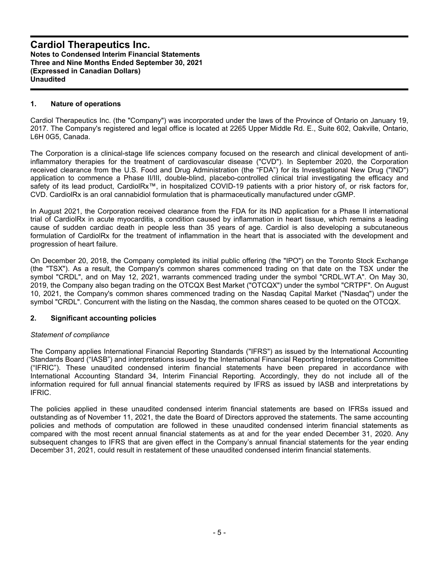#### **1. Nature of operations**

Cardiol Therapeutics Inc. (the "Company") was incorporated under the laws of the Province of Ontario on January 19, 2017. The Company's registered and legal office is located at 2265 Upper Middle Rd. E., Suite 602, Oakville, Ontario, L6H 0G5, Canada.

The Corporation is a clinical-stage life sciences company focused on the research and clinical development of antiinflammatory therapies for the treatment of cardiovascular disease ("CVD"). In September 2020, the Corporation received clearance from the U.S. Food and Drug Administration (the "FDA") for its Investigational New Drug ("IND") application to commence a Phase II/III, double-blind, placebo-controlled clinical trial investigating the efficacy and safety of its lead product, CardiolRx<sup>™</sup>, in hospitalized COVID-19 patients with a prior history of, or risk factors for, CVD. CardiolRx is an oral cannabidiol formulation that is pharmaceutically manufactured under cGMP.

In August 2021, the Corporation received clearance from the FDA for its IND application for a Phase II international trial of CardiolRx in acute myocarditis, a condition caused by inflammation in heart tissue, which remains a leading cause of sudden cardiac death in people less than 35 years of age. Cardiol is also developing a subcutaneous formulation of CardiolRx for the treatment of inflammation in the heart that is associated with the development and progression of heart failure.

On December 20, 2018, the Company completed its initial public offering (the "IPO") on the Toronto Stock Exchange (the "TSX"). As a result, the Company's common shares commenced trading on that date on the TSX under the symbol "CRDL", and on May 12, 2021, warrants commenced trading under the symbol "CRDL.WT.A". On May 30, 2019, the Company also began trading on the OTCQX Best Market ("OTCQX") under the symbol "CRTPF". On August 10, 2021, the Company's common shares commenced trading on the Nasdaq Capital Market ("Nasdaq") under the symbol "CRDL". Concurrent with the listing on the Nasdaq, the common shares ceased to be quoted on the OTCQX.

#### **2. Significant accounting policies**

#### *Statement of compliance*

The Company applies International Financial Reporting Standards ("IFRS") as issued by the International Accounting Standards Board ("IASB") and interpretations issued by the International Financial Reporting Interpretations Committee ("IFRIC"). These unaudited condensed interim financial statements have been prepared in accordance with International Accounting Standard 34, Interim Financial Reporting. Accordingly, they do not include all of the information required for full annual financial statements required by IFRS as issued by IASB and interpretations by IFRIC.

The policies applied in these unaudited condensed interim financial statements are based on IFRSs issued and outstanding as of November 11, 2021, the date the Board of Directors approved the statements. The same accounting policies and methods of computation are followed in these unaudited condensed interim financial statements as compared with the most recent annual financial statements as at and for the year ended December 31, 2020. Any subsequent changes to IFRS that are given effect in the Company's annual financial statements for the year ending December 31, 2021, could result in restatement of these unaudited condensed interim financial statements.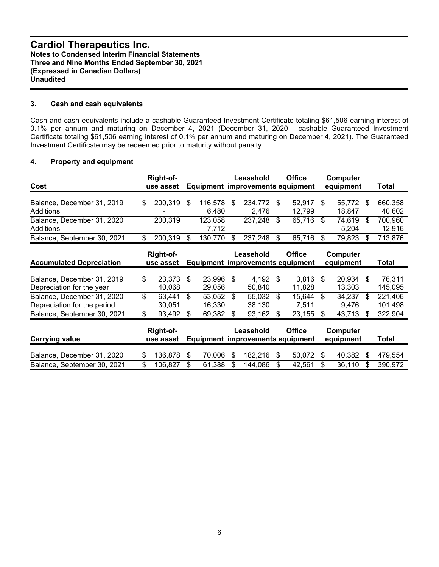#### **3. Cash and cash equivalents**

Cash and cash equivalents include a cashable Guaranteed Investment Certificate totaling \$61,506 earning interest of 0.1% per annum and maturing on December 4, 2021 (December 31, 2020 - cashable Guaranteed Investment Certificate totaling \$61,506 earning interest of 0.1% per annum and maturing on December 4, 2021). The Guaranteed Investment Certificate may be redeemed prior to maturity without penalty.

#### **4. Property and equipment**

| Cost                                    |   | Right-of-<br>use asset    |                  |   | Leasehold<br>Equipment improvements equipment |      | <b>Office</b>    | <b>Computer</b><br>equipment | Total                   |
|-----------------------------------------|---|---------------------------|------------------|---|-----------------------------------------------|------|------------------|------------------------------|-------------------------|
| Balance, December 31, 2019<br>Additions | S | 200.319<br>$\blacksquare$ | 116.578<br>6.480 | S | 234.772 \$<br>2.476                           |      | 52.917<br>12.799 | 55.772<br>18.847             | \$<br>660,358<br>40,602 |
| Balance, December 31, 2020<br>Additions |   | 200.319<br>۰              | 123,058<br>7.712 |   | 237,248                                       | - \$ | 65,716           | 74,619<br>5.204              | 700,960<br>12.916       |
| Balance, September 30, 2021             |   | 200,319                   | 130.770          |   | 237,248                                       |      | 65,716           | 79,823                       | 713,876                 |

| <b>Accumulated Depreciation</b> |    | Right-of-<br>use asset |     |        |    | Leasehold<br>Equipment improvements equipment |      | <b>Office</b> |      | Computer<br>equipment | Total   |
|---------------------------------|----|------------------------|-----|--------|----|-----------------------------------------------|------|---------------|------|-----------------------|---------|
|                                 |    |                        |     |        |    |                                               |      |               |      |                       |         |
| Balance, December 31, 2019      | S  | 23,373                 | \$. | 23,996 | -S | $4,192$ \$                                    |      | 3.816         | - \$ | 20,934                | 76.311  |
| Depreciation for the year       |    | 40,068                 |     | 29,056 |    | 50,840                                        |      | 11.828        |      | 13,303                | 145,095 |
| Balance, December 31, 2020      | \$ | 63,441                 | -S  | 53,052 | -S | 55,032                                        | - \$ | 15,644        | - \$ | 34,237                | 221,406 |
| Depreciation for the period     |    | 30.051                 |     | 16.330 |    | 38.130                                        |      | 7.511         |      | 9.476                 | 101,498 |
| Balance, September 30, 2021     | S  | 93,492                 | \$. | 69,382 | S  | 93,162                                        |      | 23,155        | - \$ | 43,713                | 322,904 |
|                                 |    | Right-of-              |     |        |    | Leasehold                                     |      | <b>Office</b> |      | Computer              |         |

| Carrying value              | night-vi-<br>use asset |           | LGASGIIUIU | <b>VIIILE</b><br>Equipment improvements equipment | <b>VUIINULEI</b><br>equipment | Total   |
|-----------------------------|------------------------|-----------|------------|---------------------------------------------------|-------------------------------|---------|
| Balance, December 31, 2020  | 136.878 \$             | 70.006 \$ | 182.216    | 50.072 \$                                         | 40.382                        | 479.554 |
| Balance, September 30, 2021 | 106.827                | 61.388    | 144.086    | 42.561                                            | 36.110                        | 390.972 |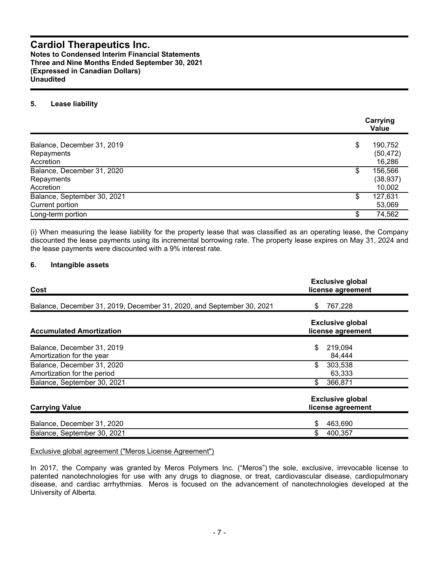**Notes to Condensed Interim Financial Statements Three and Nine Months Ended September 30, 2021 (Expressed in Canadian Dollars) Unaudited**

#### **5. Lease liability**

|                                                       | Carrying<br>Value                    |  |  |  |  |  |
|-------------------------------------------------------|--------------------------------------|--|--|--|--|--|
| Balance, December 31, 2019<br>Repayments<br>Accretion | \$<br>190,752<br>(50, 472)<br>16,286 |  |  |  |  |  |
| Balance, December 31, 2020<br>Repayments<br>Accretion | \$<br>156,566<br>(38, 937)<br>10,002 |  |  |  |  |  |
| Balance, September 30, 2021<br>Current portion        | \$<br>127,631<br>53,069              |  |  |  |  |  |
| Long-term portion                                     | 74,562                               |  |  |  |  |  |

(i) When measuring the lease liability for the property lease that was classified as an operating lease, the Company discounted the lease payments using its incremental borrowing rate. The property lease expires on May 31, 2024 and the lease payments were discounted with a 9% interest rate.

#### **6. Intangible assets**

| Cost                                                                  | <b>Exclusive global</b><br>license agreement |
|-----------------------------------------------------------------------|----------------------------------------------|
| Balance, December 31, 2019, December 31, 2020, and September 30, 2021 | 767,228<br>S.                                |
| <b>Accumulated Amortization</b>                                       | <b>Exclusive global</b><br>license agreement |
| Balance, December 31, 2019<br>Amortization for the year               | \$<br>219,094<br>84,444                      |
| Balance, December 31, 2020<br>Amortization for the period             | \$<br>303,538<br>63,333                      |
| Balance, September 30, 2021                                           | \$<br>366,871                                |
| <b>Carrying Value</b>                                                 | <b>Exclusive global</b><br>license agreement |
| Balance, December 31, 2020                                            | 463,690<br>\$                                |
| Balance, September 30, 2021                                           | \$<br>400,357                                |

#### Exclusive global agreement ("Meros License Agreement")

In 2017, the Company was granted by Meros Polymers Inc. ("Meros") the sole, exclusive, irrevocable license to patented nanotechnologies for use with any drugs to diagnose, or treat, cardiovascular disease, cardiopulmonary disease, and cardiac arrhythmias. Meros is focused on the advancement of nanotechnologies developed at the University of Alberta.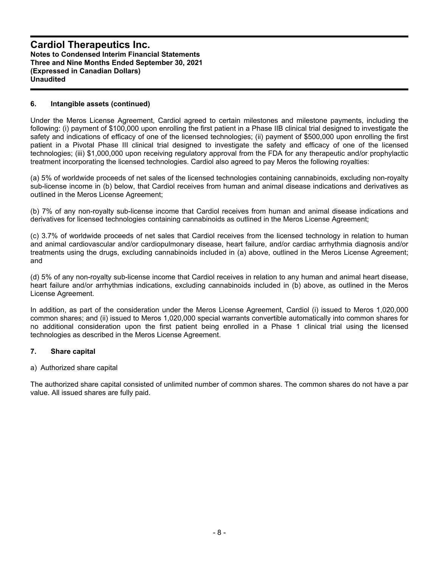#### **6. Intangible assets (continued)**

Under the Meros License Agreement, Cardiol agreed to certain milestones and milestone payments, including the following: (i) payment of \$100,000 upon enrolling the first patient in a Phase IIB clinical trial designed to investigate the safety and indications of efficacy of one of the licensed technologies; (ii) payment of \$500,000 upon enrolling the first patient in a Pivotal Phase III clinical trial designed to investigate the safety and efficacy of one of the licensed technologies; (iii) \$1,000,000 upon receiving regulatory approval from the FDA for any therapeutic and/or prophylactic treatment incorporating the licensed technologies. Cardiol also agreed to pay Meros the following royalties:

(a) 5% of worldwide proceeds of net sales of the licensed technologies containing cannabinoids, excluding non-royalty sub-license income in (b) below, that Cardiol receives from human and animal disease indications and derivatives as outlined in the Meros License Agreement;

(b) 7% of any non-royalty sub-license income that Cardiol receives from human and animal disease indications and derivatives for licensed technologies containing cannabinoids as outlined in the Meros License Agreement;

(c) 3.7% of worldwide proceeds of net sales that Cardiol receives from the licensed technology in relation to human and animal cardiovascular and/or cardiopulmonary disease, heart failure, and/or cardiac arrhythmia diagnosis and/or treatments using the drugs, excluding cannabinoids included in (a) above, outlined in the Meros License Agreement; and

(d) 5% of any non-royalty sub-license income that Cardiol receives in relation to any human and animal heart disease, heart failure and/or arrhythmias indications, excluding cannabinoids included in (b) above, as outlined in the Meros License Agreement.

In addition, as part of the consideration under the Meros License Agreement, Cardiol (i) issued to Meros 1,020,000 common shares; and (ii) issued to Meros 1,020,000 special warrants convertible automatically into common shares for no additional consideration upon the first patient being enrolled in a Phase 1 clinical trial using the licensed technologies as described in the Meros License Agreement.

#### **7. Share capital**

#### a) Authorized share capital

The authorized share capital consisted of unlimited number of common shares. The common shares do not have a par value. All issued shares are fully paid.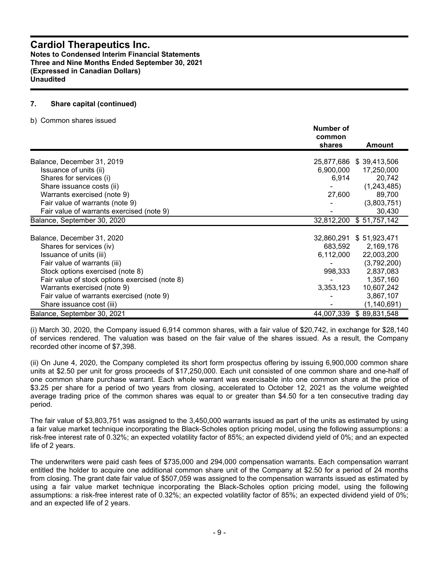**Notes to Condensed Interim Financial Statements Three and Nine Months Ended September 30, 2021 (Expressed in Canadian Dollars) Unaudited**

#### **7. Share capital (continued)**

b) Common shares issued

|                                                | Number of<br>common<br>shares | Amount        |
|------------------------------------------------|-------------------------------|---------------|
| Balance, December 31, 2019                     | 25,877,686                    | \$39,413,506  |
| Issuance of units (ii)                         | 6,900,000                     | 17,250,000    |
| Shares for services (i)                        | 6,914                         | 20,742        |
| Share issuance costs (ii)                      |                               | (1,243,485)   |
| Warrants exercised (note 9)                    | 27,600                        | 89,700        |
| Fair value of warrants (note 9)                |                               | (3,803,751)   |
| Fair value of warrants exercised (note 9)      |                               | 30,430        |
| Balance, September 30, 2020                    | 32,812,200                    | \$51,757,142  |
|                                                |                               |               |
| Balance, December 31, 2020                     | 32,860,291                    | \$51,923,471  |
| Shares for services (iv)                       | 683,592                       | 2,169,176     |
| Issuance of units (iii)                        | 6,112,000                     | 22,003,200    |
| Fair value of warrants (iii)                   |                               | (3,792,200)   |
| Stock options exercised (note 8)               | 998,333                       | 2,837,083     |
| Fair value of stock options exercised (note 8) |                               | 1,357,160     |
| Warrants exercised (note 9)                    | 3,353,123                     | 10,607,242    |
| Fair value of warrants exercised (note 9)      |                               | 3,867,107     |
| Share issuance cost (iii)                      |                               | (1, 140, 691) |
| Balance, September 30, 2021                    | 44,007,339                    | \$89,831,548  |

(i) March 30, 2020, the Company issued 6,914 common shares, with a fair value of \$20,742, in exchange for \$28,140 of services rendered. The valuation was based on the fair value of the shares issued. As a result, the Company recorded other income of \$7,398.

(ii) On June 4, 2020, the Company completed its short form prospectus offering by issuing 6,900,000 common share units at \$2.50 per unit for gross proceeds of \$17,250,000. Each unit consisted of one common share and one-half of one common share purchase warrant. Each whole warrant was exercisable into one common share at the price of \$3.25 per share for a period of two years from closing, accelerated to October 12, 2021 as the volume weighted average trading price of the common shares was equal to or greater than \$4.50 for a ten consecutive trading day period.

The fair value of \$3,803,751 was assigned to the 3,450,000 warrants issued as part of the units as estimated by using a fair value market technique incorporating the Black-Scholes option pricing model, using the following assumptions: a risk-free interest rate of 0.32%; an expected volatility factor of 85%; an expected dividend yield of 0%; and an expected life of 2 years.

The underwriters were paid cash fees of \$735,000 and 294,000 compensation warrants. Each compensation warrant entitled the holder to acquire one additional common share unit of the Company at \$2.50 for a period of 24 months from closing. The grant date fair value of \$507,059 was assigned to the compensation warrants issued as estimated by using a fair value market technique incorporating the Black-Scholes option pricing model, using the following assumptions: a risk-free interest rate of 0.32%; an expected volatility factor of 85%; an expected dividend yield of 0%; and an expected life of 2 years.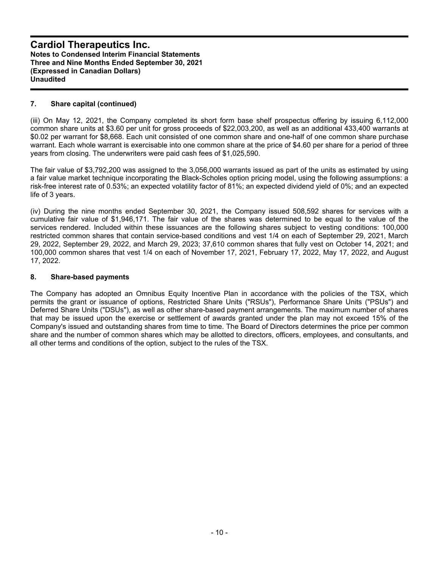#### **7. Share capital (continued)**

(iii) On May 12, 2021, the Company completed its short form base shelf prospectus offering by issuing 6,112,000 common share units at \$3.60 per unit for gross proceeds of \$22,003,200, as well as an additional 433,400 warrants at \$0.02 per warrant for \$8,668. Each unit consisted of one common share and one-half of one common share purchase warrant. Each whole warrant is exercisable into one common share at the price of \$4.60 per share for a period of three years from closing. The underwriters were paid cash fees of \$1,025,590.

The fair value of \$3,792,200 was assigned to the 3,056,000 warrants issued as part of the units as estimated by using a fair value market technique incorporating the Black-Scholes option pricing model, using the following assumptions: a risk-free interest rate of 0.53%; an expected volatility factor of 81%; an expected dividend yield of 0%; and an expected life of 3 years.

(iv) During the nine months ended September 30, 2021, the Company issued 508,592 shares for services with a cumulative fair value of \$1,946,171. The fair value of the shares was determined to be equal to the value of the services rendered. Included within these issuances are the following shares subject to vesting conditions: 100,000 restricted common shares that contain service-based conditions and vest 1/4 on each of September 29, 2021, March 29, 2022, September 29, 2022, and March 29, 2023; 37,610 common shares that fully vest on October 14, 2021; and 100,000 common shares that vest 1/4 on each of November 17, 2021, February 17, 2022, May 17, 2022, and August 17, 2022.

#### **8. Share-based payments**

The Company has adopted an Omnibus Equity Incentive Plan in accordance with the policies of the TSX, which permits the grant or issuance of options, Restricted Share Units ("RSUs"), Performance Share Units ("PSUs") and Deferred Share Units ("DSUs"), as well as other share-based payment arrangements. The maximum number of shares that may be issued upon the exercise or settlement of awards granted under the plan may not exceed 15% of the Company's issued and outstanding shares from time to time. The Board of Directors determines the price per common share and the number of common shares which may be allotted to directors, officers, employees, and consultants, and all other terms and conditions of the option, subject to the rules of the TSX.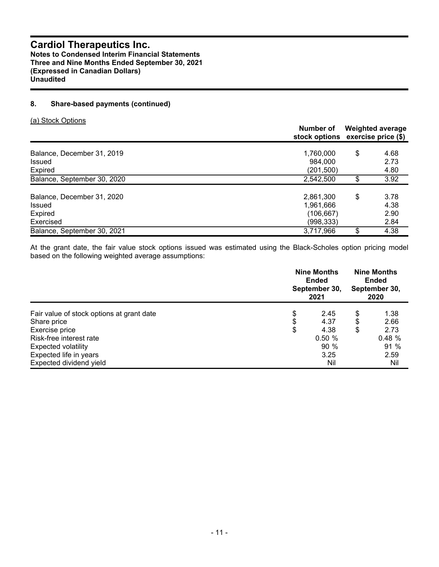#### **8. Share-based payments (continued)**

(a) Stock Options

|                                                                     | Number of                                        | <b>Weighted average</b><br>stock options exercise price (\$) |                              |  |  |
|---------------------------------------------------------------------|--------------------------------------------------|--------------------------------------------------------------|------------------------------|--|--|
| Balance, December 31, 2019<br><b>Issued</b><br>Expired              | 1,760,000<br>984.000<br>(201,500)                | \$                                                           | 4.68<br>2.73<br>4.80         |  |  |
| Balance, September 30, 2020                                         | 2,542,500                                        | \$                                                           | 3.92                         |  |  |
| Balance, December 31, 2020<br><b>Issued</b><br>Expired<br>Exercised | 2,861,300<br>1.961.666<br>(106,667)<br>(998,333) | \$                                                           | 3.78<br>4.38<br>2.90<br>2.84 |  |  |
| Balance, September 30, 2021                                         | 3,717,966                                        | \$                                                           | 4.38                         |  |  |

At the grant date, the fair value stock options issued was estimated using the Black-Scholes option pricing model based on the following weighted average assumptions:

|                                           | <b>Nine Months</b><br><b>Nine Months</b><br>Ended<br><b>Ended</b><br>September 30,<br>September 30,<br>2021<br>2020 |    |       |
|-------------------------------------------|---------------------------------------------------------------------------------------------------------------------|----|-------|
| Fair value of stock options at grant date | \$<br>2.45                                                                                                          | \$ | 1.38  |
| Share price                               | \$<br>4.37                                                                                                          | \$ | 2.66  |
| Exercise price                            | \$<br>4.38                                                                                                          | \$ | 2.73  |
| Risk-free interest rate                   | 0.50%                                                                                                               |    | 0.48% |
| <b>Expected volatility</b>                | 90%                                                                                                                 |    | 91 %  |
| Expected life in years                    | 3.25                                                                                                                |    | 2.59  |
| Expected dividend yield                   | Nil                                                                                                                 |    | Nil   |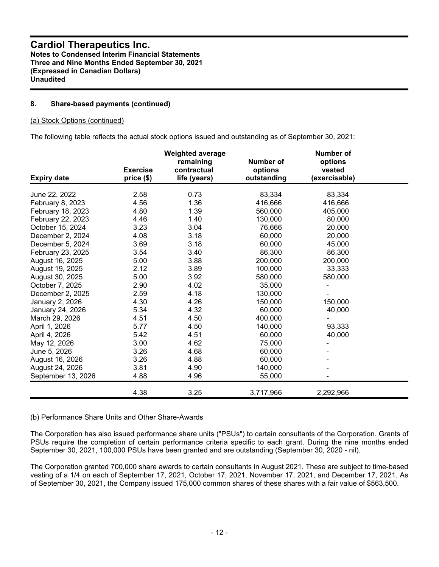#### **8. Share-based payments (continued)**

#### (a) Stock Options (continued)

The following table reflects the actual stock options issued and outstanding as of September 30, 2021:

|                    | <b>Exercise</b> | <b>Weighted average</b><br>remaining<br>contractual | Number of<br>options | <b>Number of</b><br>options<br>vested |  |
|--------------------|-----------------|-----------------------------------------------------|----------------------|---------------------------------------|--|
| <b>Expiry date</b> | price (\$)      | life (years)                                        | outstanding          | (exercisable)                         |  |
| June 22, 2022      | 2.58            | 0.73                                                | 83,334               | 83,334                                |  |
| February 8, 2023   | 4.56            | 1.36                                                | 416,666              | 416,666                               |  |
| February 18, 2023  | 4.80            | 1.39                                                | 560,000              | 405,000                               |  |
| February 22, 2023  | 4.46            | 1.40                                                | 130,000              | 80,000                                |  |
| October 15, 2024   | 3.23            | 3.04                                                | 76,666               | 20,000                                |  |
| December 2, 2024   | 4.08            | 3.18                                                | 60,000               | 20,000                                |  |
| December 5, 2024   | 3.69            | 3.18                                                | 60,000               | 45,000                                |  |
| February 23, 2025  | 3.54            | 3.40                                                | 86,300               | 86,300                                |  |
| August 16, 2025    | 5.00            | 3.88                                                | 200,000              | 200,000                               |  |
| August 19, 2025    | 2.12            | 3.89                                                | 100,000              | 33,333                                |  |
| August 30, 2025    | 5.00            | 3.92                                                | 580,000              | 580,000                               |  |
| October 7, 2025    | 2.90            | 4.02                                                | 35,000               |                                       |  |
| December 2, 2025   | 2.59            | 4.18                                                | 130,000              |                                       |  |
| January 2, 2026    | 4.30            | 4.26                                                | 150,000              | 150,000                               |  |
| January 24, 2026   | 5.34            | 4.32                                                | 60,000               | 40,000                                |  |
| March 29, 2026     | 4.51            | 4.50                                                | 400,000              |                                       |  |
| April 1, 2026      | 5.77            | 4.50                                                | 140,000              | 93,333                                |  |
| April 4, 2026      | 5.42            | 4.51                                                | 60,000               | 40,000                                |  |
| May 12, 2026       | 3.00            | 4.62                                                | 75,000               |                                       |  |
| June 5, 2026       | 3.26            | 4.68                                                | 60,000               |                                       |  |
| August 16, 2026    | 3.26            | 4.88                                                | 60,000               |                                       |  |
| August 24, 2026    | 3.81            | 4.90                                                | 140,000              |                                       |  |
| September 13, 2026 | 4.88            | 4.96                                                | 55,000               |                                       |  |
|                    | 4.38            | 3.25                                                | 3,717,966            | 2,292,966                             |  |

#### (b) Performance Share Units and Other Share-Awards

The Corporation has also issued performance share units ("PSUs") to certain consultants of the Corporation. Grants of PSUs require the completion of certain performance criteria specific to each grant. During the nine months ended September 30, 2021, 100,000 PSUs have been granted and are outstanding (September 30, 2020 - nil).

The Corporation granted 700,000 share awards to certain consultants in August 2021. These are subject to time-based vesting of a 1/4 on each of September 17, 2021, October 17, 2021, November 17, 2021, and December 17, 2021. As of September 30, 2021, the Company issued 175,000 common shares of these shares with a fair value of \$563,500.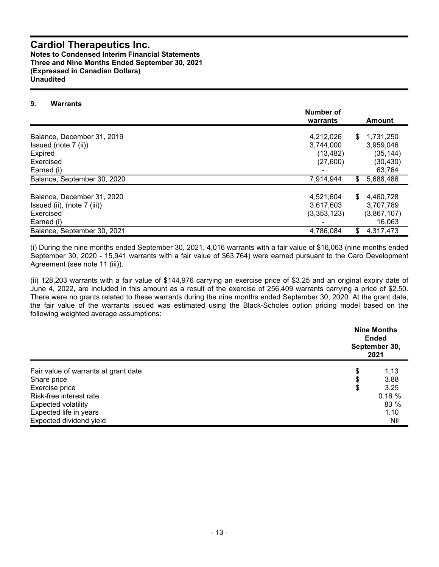#### **Cardiol Therapeutics Inc. Notes to Condensed Interim Financial Statements Three and Nine Months Ended September 30, 2021 (Expressed in Canadian Dollars) Unaudited**

#### **9. Warrants**

|                               | Number of<br>warrants | Amount          |  |
|-------------------------------|-----------------------|-----------------|--|
| Balance, December 31, 2019    | 4,212,026             | \$<br>1.731.250 |  |
| Issued (note $7$ (ii))        | 3,744,000             | 3,959,046       |  |
| Expired                       | (13, 482)             | (35, 144)       |  |
| Exercised                     | (27,600)              | (30,430)        |  |
| Earned (i)                    |                       | 63,764          |  |
| Balance, September 30, 2020   | 7,914,944             | \$<br>5,688,486 |  |
| Balance, December 31, 2020    | 4,521,604             | \$<br>4,460,728 |  |
| Issued (ii), (note $7$ (iii)) | 3,617,603             | 3,707,789       |  |
| Exercised                     | (3,353,123)           | (3,867,107)     |  |
| Earned (i)                    |                       | 16,063          |  |
| Balance, September 30, 2021   | 4,786,084             | 4,317,473<br>\$ |  |

(i) During the nine months ended September 30, 2021, 4,016 warrants with a fair value of \$16,063 (nine months ended September 30, 2020 - 15,941 warrants with a fair value of \$63,764) were earned pursuant to the Caro Development Agreement (see note 11 (iii)).

(ii) 128,203 warrants with a fair value of \$144,976 carrying an exercise price of \$3.25 and an original expiry date of June 4, 2022, are included in this amount as a result of the exercise of 256,409 warrants carrying a price of \$2.50. There were no grants related to these warrants during the nine months ended September 30, 2020. At the grant date, the fair value of the warrants issued was estimated using the Black-Scholes option pricing model based on the following weighted average assumptions:

|                                      | <b>Nine Months</b><br><b>Ended</b><br>September 30,<br>2021 |
|--------------------------------------|-------------------------------------------------------------|
| Fair value of warrants at grant date | \$<br>1.13                                                  |
| Share price                          | \$<br>3.88                                                  |
| Exercise price                       | \$<br>3.25                                                  |
| Risk-free interest rate              | 0.16%                                                       |
| <b>Expected volatility</b>           | 83 %                                                        |
| Expected life in years               | 1.10                                                        |
| Expected dividend yield              | Nil                                                         |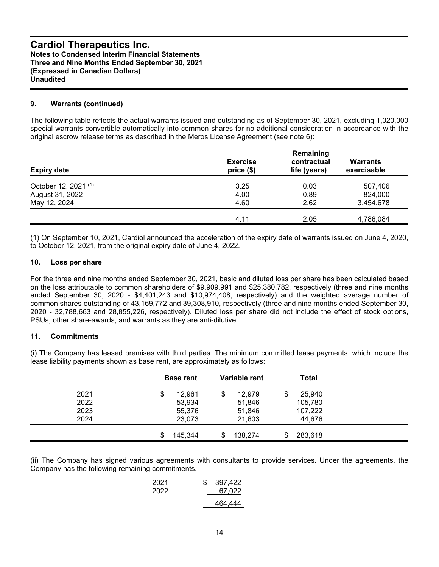#### **9. Warrants (continued)**

The following table reflects the actual warrants issued and outstanding as of September 30, 2021, excluding 1,020,000 special warrants convertible automatically into common shares for no additional consideration in accordance with the original escrow release terms as described in the Meros License Agreement (see note 6):

| <b>Expiry date</b>              | <b>Exercise</b><br>price(\$) | Remaining<br>contractual<br>life (years) | <b>Warrants</b><br>exercisable |
|---------------------------------|------------------------------|------------------------------------------|--------------------------------|
| October 12, 2021 <sup>(1)</sup> | 3.25                         | 0.03                                     | 507,406                        |
| August 31, 2022                 | 4.00                         | 0.89                                     | 824,000                        |
| May 12, 2024                    | 4.60                         | 2.62                                     | 3,454,678                      |
|                                 | 4.11                         | 2.05                                     | 4,786,084                      |

(1) On September 10, 2021, Cardiol announced the acceleration of the expiry date of warrants issued on June 4, 2020, to October 12, 2021, from the original expiry date of June 4, 2022.

#### **10. Loss per share**

For the three and nine months ended September 30, 2021, basic and diluted loss per share has been calculated based on the loss attributable to common shareholders of \$9,909,991 and \$25,380,782, respectively (three and nine months ended September 30, 2020 - \$4,401,243 and \$10,974,408, respectively) and the weighted average number of common shares outstanding of 43,169,772 and 39,308,910, respectively (three and nine months ended September 30, 2020 - 32,788,663 and 28,855,226, respectively). Diluted loss per share did not include the effect of stock options, PSUs, other share-awards, and warrants as they are anti-dilutive.

#### **11. Commitments**

(i) The Company has leased premises with third parties. The minimum committed lease payments, which include the lease liability payments shown as base rent, are approximately as follows:

|      | <b>Base rent</b> | Variable rent  | Total        |  |
|------|------------------|----------------|--------------|--|
| 2021 | 12,961<br>\$     | 12,979<br>\$   | 25,940<br>\$ |  |
| 2022 | 53,934           | 51,846         | 105,780      |  |
| 2023 | 55,376           | 51,846         | 107,222      |  |
| 2024 | 23,073           | 21,603         | 44,676       |  |
|      | 145,344<br>\$.   | 138.274<br>\$. | 283,618      |  |

(ii) The Company has signed various agreements with consultants to provide services. Under the agreements, the Company has the following remaining commitments.

| 2021<br>2022 | \$. | 397.422<br>67.022 |
|--------------|-----|-------------------|
|              |     | 464.444           |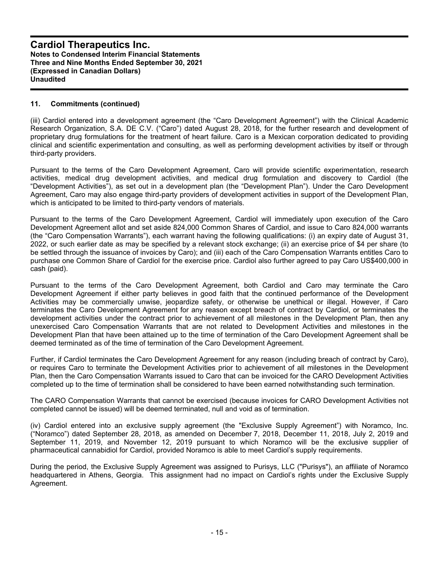#### **11. Commitments (continued)**

(iii) Cardiol entered into a development agreement (the "Caro Development Agreement") with the Clinical Academic Research Organization, S.A. DE C.V. ("Caro") dated August 28, 2018, for the further research and development of proprietary drug formulations for the treatment of heart failure. Caro is a Mexican corporation dedicated to providing clinical and scientific experimentation and consulting, as well as performing development activities by itself or through third-party providers.

Pursuant to the terms of the Caro Development Agreement, Caro will provide scientific experimentation, research activities, medical drug development activities, and medical drug formulation and discovery to Cardiol (the "Development Activities"), as set out in a development plan (the "Development Plan"). Under the Caro Development Agreement, Caro may also engage third-party providers of development activities in support of the Development Plan, which is anticipated to be limited to third-party vendors of materials.

Pursuant to the terms of the Caro Development Agreement, Cardiol will immediately upon execution of the Caro Development Agreement allot and set aside 824,000 Common Shares of Cardiol, and issue to Caro 824,000 warrants (the "Caro Compensation Warrants"), each warrant having the following qualifications: (i) an expiry date of August 31, 2022, or such earlier date as may be specified by a relevant stock exchange; (ii) an exercise price of \$4 per share (to be settled through the issuance of invoices by Caro); and (iii) each of the Caro Compensation Warrants entitles Caro to purchase one Common Share of Cardiol for the exercise price. Cardiol also further agreed to pay Caro US\$400,000 in cash (paid).

Pursuant to the terms of the Caro Development Agreement, both Cardiol and Caro may terminate the Caro Development Agreement if either party believes in good faith that the continued performance of the Development Activities may be commercially unwise, jeopardize safety, or otherwise be unethical or illegal. However, if Caro terminates the Caro Development Agreement for any reason except breach of contract by Cardiol, or terminates the development activities under the contract prior to achievement of all milestones in the Development Plan, then any unexercised Caro Compensation Warrants that are not related to Development Activities and milestones in the Development Plan that have been attained up to the time of termination of the Caro Development Agreement shall be deemed terminated as of the time of termination of the Caro Development Agreement.

Further, if Cardiol terminates the Caro Development Agreement for any reason (including breach of contract by Caro), or requires Caro to terminate the Development Activities prior to achievement of all milestones in the Development Plan, then the Caro Compensation Warrants issued to Caro that can be invoiced for the CARO Development Activities completed up to the time of termination shall be considered to have been earned notwithstanding such termination.

The CARO Compensation Warrants that cannot be exercised (because invoices for CARO Development Activities not completed cannot be issued) will be deemed terminated, null and void as of termination.

(iv) Cardiol entered into an exclusive supply agreement (the "Exclusive Supply Agreement") with Noramco, Inc. ("Noramco") dated September 28, 2018, as amended on December 7, 2018, December 11, 2018, July 2, 2019 and September 11, 2019, and November 12, 2019 pursuant to which Noramco will be the exclusive supplier of pharmaceutical cannabidiol for Cardiol, provided Noramco is able to meet Cardiol's supply requirements.

During the period, the Exclusive Supply Agreement was assigned to Purisys, LLC ("Purisys"), an affiliate of Noramco headquartered in Athens, Georgia. This assignment had no impact on Cardiol's rights under the Exclusive Supply Agreement.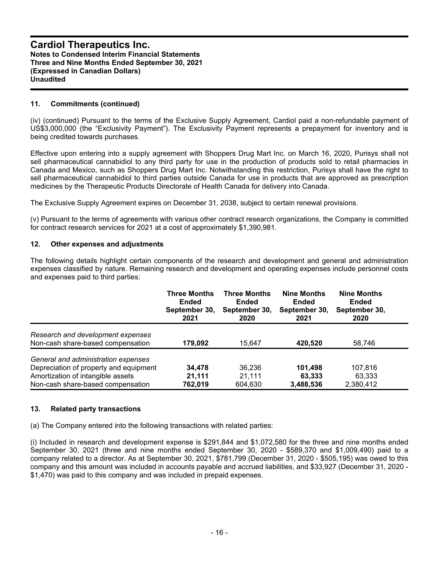#### **11. Commitments (continued)**

(iv) (continued) Pursuant to the terms of the Exclusive Supply Agreement, Cardiol paid a non-refundable payment of US\$3,000,000 (the "Exclusivity Payment"). The Exclusivity Payment represents a prepayment for inventory and is being credited towards purchases.

Effective upon entering into a supply agreement with Shoppers Drug Mart Inc. on March 16, 2020, Purisys shall not sell pharmaceutical cannabidiol to any third party for use in the production of products sold to retail pharmacies in Canada and Mexico, such as Shoppers Drug Mart Inc. Notwithstanding this restriction, Purisys shall have the right to sell pharmaceutical cannabidiol to third parties outside Canada for use in products that are approved as prescription medicines by the Therapeutic Products Directorate of Health Canada for delivery into Canada.

The Exclusive Supply Agreement expires on December 31, 2038, subject to certain renewal provisions.

(v) Pursuant to the terms of agreements with various other contract research organizations, the Company is committed for contract research services for 2021 at a cost of approximately \$1,390,981.

#### **12. Other expenses and adjustments**

The following details highlight certain components of the research and development and general and administration expenses classified by nature. Remaining research and development and operating expenses include personnel costs and expenses paid to third parties:

|                                        | <b>Three Months</b><br><b>Ended</b><br>September 30,<br>2021 | <b>Three Months</b><br><b>Ended</b><br>September 30,<br>2020 | <b>Nine Months</b><br><b>Ended</b><br>September 30,<br>2021 | <b>Nine Months</b><br>Ended<br>September 30,<br>2020 |  |
|----------------------------------------|--------------------------------------------------------------|--------------------------------------------------------------|-------------------------------------------------------------|------------------------------------------------------|--|
| Research and development expenses      |                                                              |                                                              |                                                             |                                                      |  |
| Non-cash share-based compensation      | 179,092                                                      | 15,647                                                       | 420,520                                                     | 58,746                                               |  |
| General and administration expenses    |                                                              |                                                              |                                                             |                                                      |  |
| Depreciation of property and equipment | 34,478                                                       | 36.236                                                       | 101,498                                                     | 107,816                                              |  |
| Amortization of intangible assets      | 21.111                                                       | 21.111                                                       | 63.333                                                      | 63,333                                               |  |
| Non-cash share-based compensation      | 762,019                                                      | 604,630                                                      | 3,488,536                                                   | 2,380,412                                            |  |

#### **13. Related party transactions**

(a) The Company entered into the following transactions with related parties:

(i) Included in research and development expense is \$291,844 and \$1,072,580 for the three and nine months ended September 30, 2021 (three and nine months ended September 30, 2020 - \$589,370 and \$1,009,490) paid to a company related to a director. As at September 30, 2021, \$781,799 (December 31, 2020 - \$505,195) was owed to this company and this amount was included in accounts payable and accrued liabilities, and \$33,927 (December 31, 2020 - \$1,470) was paid to this company and was included in prepaid expenses.